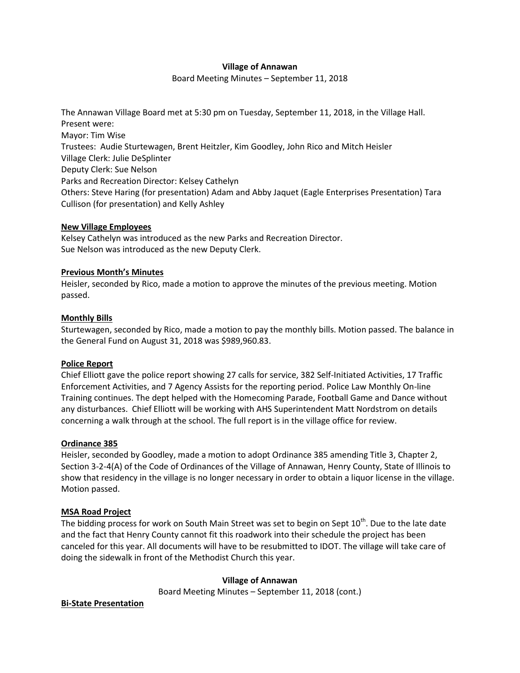## **Village of Annawan**

Board Meeting Minutes – September 11, 2018

The Annawan Village Board met at 5:30 pm on Tuesday, September 11, 2018, in the Village Hall. Present were: Mayor: Tim Wise Trustees: Audie Sturtewagen, Brent Heitzler, Kim Goodley, John Rico and Mitch Heisler Village Clerk: Julie DeSplinter Deputy Clerk: Sue Nelson Parks and Recreation Director: Kelsey Cathelyn Others: Steve Haring (for presentation) Adam and Abby Jaquet (Eagle Enterprises Presentation) Tara Cullison (for presentation) and Kelly Ashley

## **New Village Employees**

Kelsey Cathelyn was introduced as the new Parks and Recreation Director. Sue Nelson was introduced as the new Deputy Clerk.

## **Previous Month's Minutes**

Heisler, seconded by Rico, made a motion to approve the minutes of the previous meeting. Motion passed.

## **Monthly Bills**

Sturtewagen, seconded by Rico, made a motion to pay the monthly bills. Motion passed. The balance in the General Fund on August 31, 2018 was \$989,960.83.

#### **Police Report**

Chief Elliott gave the police report showing 27 calls for service, 382 Self-Initiated Activities, 17 Traffic Enforcement Activities, and 7 Agency Assists for the reporting period. Police Law Monthly On-line Training continues. The dept helped with the Homecoming Parade, Football Game and Dance without any disturbances. Chief Elliott will be working with AHS Superintendent Matt Nordstrom on details concerning a walk through at the school. The full report is in the village office for review.

# **Ordinance 385**

Heisler, seconded by Goodley, made a motion to adopt Ordinance 385 amending Title 3, Chapter 2, Section 3-2-4(A) of the Code of Ordinances of the Village of Annawan, Henry County, State of Illinois to show that residency in the village is no longer necessary in order to obtain a liquor license in the village. Motion passed.

# **MSA Road Project**

The bidding process for work on South Main Street was set to begin on Sept 10<sup>th</sup>. Due to the late date and the fact that Henry County cannot fit this roadwork into their schedule the project has been canceled for this year. All documents will have to be resubmitted to IDOT. The village will take care of doing the sidewalk in front of the Methodist Church this year.

#### **Village of Annawan**

Board Meeting Minutes – September 11, 2018 (cont.)

# **Bi-State Presentation**